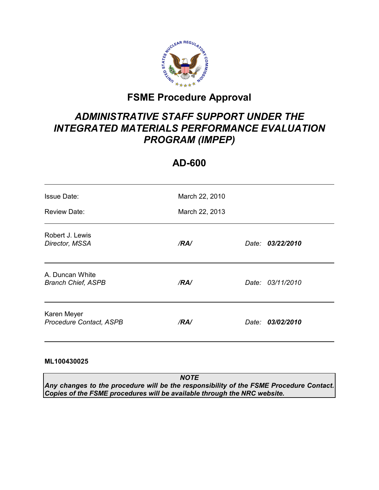

# **FSME Procedure Approval**

# *ADMINISTRATIVE STAFF SUPPORT UNDER THE INTEGRATED MATERIALS PERFORMANCE EVALUATION PROGRAM (IMPEP)*

# **AD-600**

| <b>Issue Date:</b><br><b>Review Date:</b>    | March 22, 2010<br>March 22, 2013 |       |                  |
|----------------------------------------------|----------------------------------|-------|------------------|
| Robert J. Lewis<br>Director, MSSA            | /RA/                             | Date: | 03/22/2010       |
| A. Duncan White<br><b>Branch Chief, ASPB</b> | /RA/                             |       | Date: 03/11/2010 |
| Karen Meyer<br>Procedure Contact, ASPB       | /RA/                             |       | Date: 03/02/2010 |

#### **ML100430025**

*NOTE Any changes to the procedure will be the responsibility of the FSME Procedure Contact. Copies of the FSME procedures will be available through the NRC website.*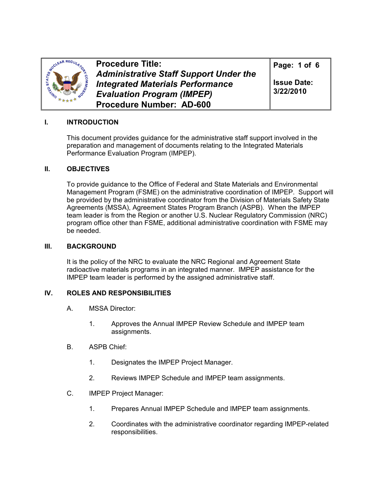

**Procedure Title:**  *Administrative Staff Support Under the Integrated Materials Performance Evaluation Program (IMPEP)*  **Procedure Number: AD-600**

**Page: 1 of 6** 

**Issue Date: 3/22/2010**

## **I. INTRODUCTION**

This document provides guidance for the administrative staff support involved in the preparation and management of documents relating to the Integrated Materials Performance Evaluation Program (IMPEP).

### **II. OBJECTIVES**

To provide guidance to the Office of Federal and State Materials and Environmental Management Program (FSME) on the administrative coordination of IMPEP. Support will be provided by the administrative coordinator from the Division of Materials Safety State Agreements (MSSA), Agreement States Program Branch (ASPB). When the IMPEP team leader is from the Region or another U.S. Nuclear Regulatory Commission (NRC) program office other than FSME, additional administrative coordination with FSME may be needed.

#### **III. BACKGROUND**

It is the policy of the NRC to evaluate the NRC Regional and Agreement State radioactive materials programs in an integrated manner. IMPEP assistance for the IMPEP team leader is performed by the assigned administrative staff.

## **IV. ROLES AND RESPONSIBILITIES**

- A. MSSA Director:
	- 1. Approves the Annual IMPEP Review Schedule and IMPEP team assignments.
- B. ASPB Chief:
	- 1. Designates the IMPEP Project Manager.
	- 2. Reviews IMPEP Schedule and IMPEP team assignments.
- C. IMPEP Project Manager:
	- 1. Prepares Annual IMPEP Schedule and IMPEP team assignments.
	- 2. Coordinates with the administrative coordinator regarding IMPEP-related responsibilities.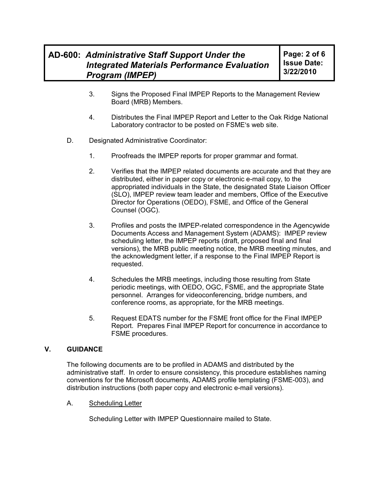- 3. Signs the Proposed Final IMPEP Reports to the Management Review Board (MRB) Members.
- 4. Distributes the Final IMPEP Report and Letter to the Oak Ridge National Laboratory contractor to be posted on FSME's web site.
- D. Designated Administrative Coordinator:
	- 1. Proofreads the IMPEP reports for proper grammar and format.
	- 2. Verifies that the IMPEP related documents are accurate and that they are distributed, either in paper copy or electronic e-mail copy, to the appropriated individuals in the State, the designated State Liaison Officer (SLO), IMPEP review team leader and members, Office of the Executive Director for Operations (OEDO), FSME, and Office of the General Counsel (OGC).
	- 3. Profiles and posts the IMPEP-related correspondence in the Agencywide Documents Access and Management System (ADAMS): IMPEP review scheduling letter, the IMPEP reports (draft, proposed final and final versions), the MRB public meeting notice, the MRB meeting minutes, and the acknowledgment letter, if a response to the Final IMPEP Report is requested.
	- 4. Schedules the MRB meetings, including those resulting from State periodic meetings, with OEDO, OGC, FSME, and the appropriate State personnel. Arranges for videoconferencing, bridge numbers, and conference rooms, as appropriate, for the MRB meetings.
	- 5. Request EDATS number for the FSME front office for the Final IMPEP Report. Prepares Final IMPEP Report for concurrence in accordance to FSME procedures.

#### **V. GUIDANCE**

The following documents are to be profiled in ADAMS and distributed by the administrative staff. In order to ensure consistency, this procedure establishes naming conventions for the Microsoft documents, ADAMS profile templating (FSME-003), and distribution instructions (both paper copy and electronic e-mail versions).

A. Scheduling Letter

Scheduling Letter with IMPEP Questionnaire mailed to State.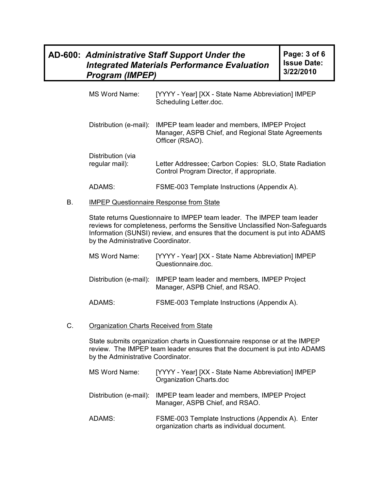| MS Word Name:                       | [YYYY - Year] [XX - State Name Abbreviation] IMPEP<br>Scheduling Letter.doc.                                          |
|-------------------------------------|-----------------------------------------------------------------------------------------------------------------------|
| Distribution (e-mail):              | IMPEP team leader and members, IMPEP Project<br>Manager, ASPB Chief, and Regional State Agreements<br>Officer (RSAO). |
| Distribution (via<br>regular mail): | Letter Addressee; Carbon Copies: SLO, State Radiation<br>Control Program Director, if appropriate.                    |
| ADAMS:                              | FSME-003 Template Instructions (Appendix A).                                                                          |

#### B. IMPEP Questionnaire Response from State

State returns Questionnaire to IMPEP team leader. The IMPEP team leader reviews for completeness, performs the Sensitive Unclassified Non-Safeguards Information (SUNSI) review, and ensures that the document is put into ADAMS by the Administrative Coordinator.

| MS Word Name: | [YYYY - Year] [XX - State Name Abbreviation] IMPEP<br>Questionnaire.doc.                              |
|---------------|-------------------------------------------------------------------------------------------------------|
|               | Distribution (e-mail): IMPEP team leader and members, IMPEP Project<br>Manager, ASPB Chief, and RSAO. |
| ADAMS:        | FSME-003 Template Instructions (Appendix A).                                                          |

#### C. Organization Charts Received from State

State submits organization charts in Questionnaire response or at the IMPEP review. The IMPEP team leader ensures that the document is put into ADAMS by the Administrative Coordinator.

| MS Word Name: | [YYYY - Year] [XX - State Name Abbreviation] IMPEP<br>Organization Charts.doc                         |
|---------------|-------------------------------------------------------------------------------------------------------|
|               | Distribution (e-mail): IMPEP team leader and members, IMPEP Project<br>Manager, ASPB Chief, and RSAO. |
| ADAMS:        | FSME-003 Template Instructions (Appendix A). Enter<br>organization charts as individual document.     |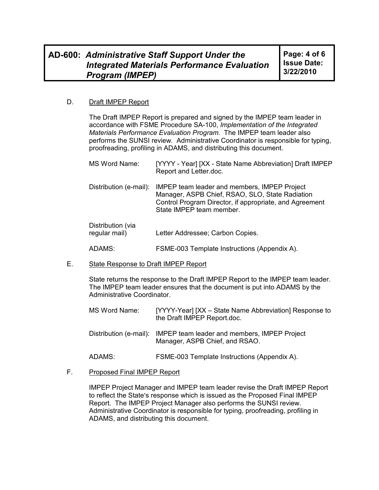#### D. Draft IMPEP Report

The Draft IMPEP Report is prepared and signed by the IMPEP team leader in accordance with FSME Procedure SA-100, *Implementation of the Integrated Materials Performance Evaluation Program.* The IMPEP team leader also performs the SUNSI review*.* Administrative Coordinator is responsible for typing, proofreading, profiling in ADAMS, and distributing this document.

| MS Word Name:                      | [YYYY - Year] [XX - State Name Abbreviation] Draft IMPEP<br>Report and Letter.doc.                                                                                                     |
|------------------------------------|----------------------------------------------------------------------------------------------------------------------------------------------------------------------------------------|
| Distribution (e-mail):             | IMPEP team leader and members, IMPEP Project<br>Manager, ASPB Chief, RSAO, SLO, State Radiation<br>Control Program Director, if appropriate, and Agreement<br>State IMPEP team member. |
| Distribution (via<br>regular mail) | Letter Addressee; Carbon Copies.                                                                                                                                                       |

ADAMS: FSME-003 Template Instructions (Appendix A).

E. State Response to Draft IMPEP Report

State returns the response to the Draft IMPEP Report to the IMPEP team leader. The IMPEP team leader ensures that the document is put into ADAMS by the Administrative Coordinator.

| MS Word Name: | [YYYY-Year] [XX - State Name Abbreviation] Response to<br>the Draft IMPEP Report.doc.                 |
|---------------|-------------------------------------------------------------------------------------------------------|
|               | Distribution (e-mail): IMPEP team leader and members, IMPEP Project<br>Manager, ASPB Chief, and RSAO. |
| ADAMS:        | FSME-003 Template Instructions (Appendix A).                                                          |

#### F. Proposed Final IMPEP Report

IMPEP Project Manager and IMPEP team leader revise the Draft IMPEP Report to reflect the State's response which is issued as the Proposed Final IMPEP Report. The IMPEP Project Manager also performs the SUNSI review. Administrative Coordinator is responsible for typing, proofreading, profiling in ADAMS, and distributing this document.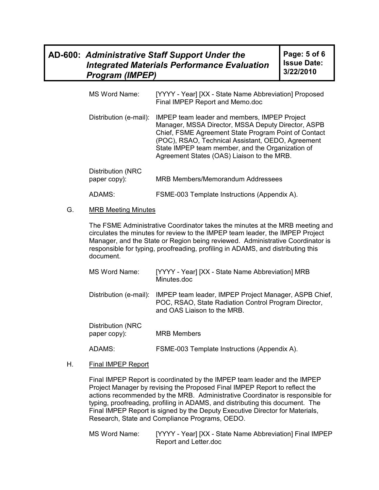| MS Word Name: | [YYYY - Year] [XX - State Name Abbreviation] Proposed<br>Final IMPEP Report and Memo.doc |
|---------------|------------------------------------------------------------------------------------------|
|               |                                                                                          |

Distribution (e-mail): IMPEP team leader and members, IMPEP Project Manager, MSSA Director, MSSA Deputy Director, ASPB Chief, FSME Agreement State Program Point of Contact (POC), RSAO, Technical Assistant, OEDO, Agreement State IMPEP team member, and the Organization of Agreement States (OAS) Liaison to the MRB.

| Distribution (NRC<br>paper copy): | <b>MRB Members/Memorandum Addressees</b>     |  |
|-----------------------------------|----------------------------------------------|--|
| ADAMS:                            | FSME-003 Template Instructions (Appendix A). |  |

#### G. MRB Meeting Minutes

The FSME Administrative Coordinator takes the minutes at the MRB meeting and circulates the minutes for review to the IMPEP team leader, the IMPEP Project Manager, and the State or Region being reviewed. Administrative Coordinator is responsible for typing, proofreading, profiling in ADAMS, and distributing this document.

| <b>MS Word Name:</b>              | [YYYY - Year] [XX - State Name Abbreviation] MRB<br>Minutes.doc                                                                              |
|-----------------------------------|----------------------------------------------------------------------------------------------------------------------------------------------|
| Distribution (e-mail):            | IMPEP team leader, IMPEP Project Manager, ASPB Chief,<br>POC, RSAO, State Radiation Control Program Director,<br>and OAS Liaison to the MRB. |
| Distribution (NRC<br>paper copy): | <b>MRB Members</b>                                                                                                                           |

ADAMS: FSME-003 Template Instructions (Appendix A).

#### H. Final IMPEP Report

Final IMPEP Report is coordinated by the IMPEP team leader and the IMPEP Project Manager by revising the Proposed Final IMPEP Report to reflect the actions recommended by the MRB. Administrative Coordinator is responsible for typing, proofreading, profiling in ADAMS, and distributing this document. The Final IMPEP Report is signed by the Deputy Executive Director for Materials, Research, State and Compliance Programs, OEDO.

MS Word Name: [YYYY - Year] [XX - State Name Abbreviation] Final IMPEP Report and Letter.doc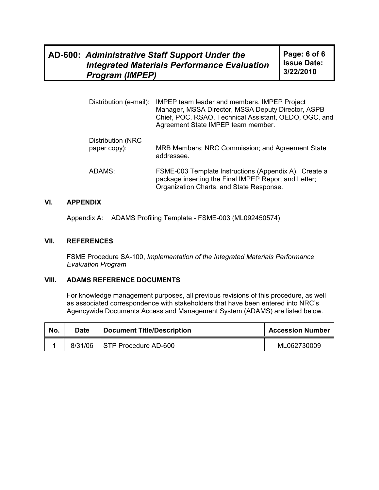| Distribution (e-mail):            | IMPEP team leader and members, IMPEP Project<br>Manager, MSSA Director, MSSA Deputy Director, ASPB<br>Chief, POC, RSAO, Technical Assistant, OEDO, OGC, and<br>Agreement State IMPEP team member. |
|-----------------------------------|---------------------------------------------------------------------------------------------------------------------------------------------------------------------------------------------------|
| Distribution (NRC<br>paper copy): | MRB Members; NRC Commission; and Agreement State<br>addressee.                                                                                                                                    |
| ADAMS:                            | FSME-003 Template Instructions (Appendix A). Create a<br>package inserting the Final IMPEP Report and Letter;<br>Organization Charts, and State Response.                                         |

## **VI. APPENDIX**

Appendix A: ADAMS Profiling Template - FSME-003 (ML092450574)

#### **VII. REFERENCES**

FSME Procedure SA-100, *Implementation of the Integrated Materials Performance Evaluation Program* 

#### **VIII. ADAMS REFERENCE DOCUMENTS**

For knowledge management purposes, all previous revisions of this procedure, as well as associated correspondence with stakeholders that have been entered into NRC's Agencywide Documents Access and Management System (ADAMS) are listed below.

| No. | Date    | <b>Document Title/Description</b> | <b>Accession Number</b> |
|-----|---------|-----------------------------------|-------------------------|
|     | 8/31/06 | STP Procedure AD-600              | ML062730009             |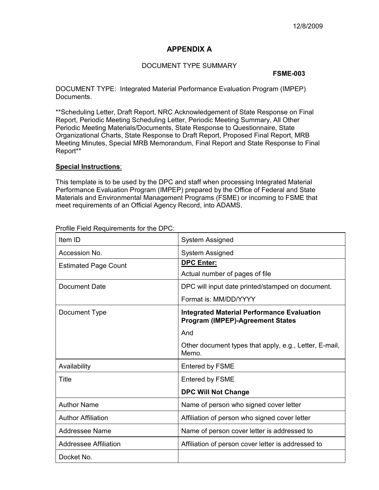### **APPENDIX A**

#### DOCUMENT TYPE SUMMARY

#### **FSME-003**

DOCUMENT TYPE: Integrated Material Performance Evaluation Program (IMPEP) Documents.

\*\*Scheduling Letter, Draft Report, NRC Acknowledgement of State Response on Final Report, Periodic Meeting Scheduling Letter, Periodic Meeting Summary, All Other Periodic Meeting Materials/Documents, State Response to Questionnaire, State Organizational Charts, State Response to Draft Report, Proposed Final Report, MRB Meeting Minutes, Special MRB Memorandum, Final Report and State Response to Final Report\*\*

#### **Special Instructions**:

This template is to be used by the DPC and staff when processing Integrated Material Performance Evaluation Program (IMPEP) prepared by the Office of Federal and State Materials and Environmental Management Programs (FSME) or incoming to FSME that meet requirements of an Official Agency Record, into ADAMS.

| Item ID                      | <b>System Assigned</b>                                                                       |
|------------------------------|----------------------------------------------------------------------------------------------|
| Accession No.                | System Assigned                                                                              |
| <b>Estimated Page Count</b>  | <b>DPC Enter:</b>                                                                            |
|                              | Actual number of pages of file                                                               |
| Document Date                | DPC will input date printed/stamped on document.                                             |
|                              | Format is: MM/DD/YYYY                                                                        |
| Document Type                | <b>Integrated Material Performance Evaluation</b><br><b>Program (IMPEP)-Agreement States</b> |
|                              | And                                                                                          |
|                              | Other document types that apply, e.g., Letter, E-mail,<br>Memo.                              |
| Availability                 | <b>Entered by FSME</b>                                                                       |
| Title                        | <b>Entered by FSME</b>                                                                       |
|                              | <b>DPC Will Not Change</b>                                                                   |
| <b>Author Name</b>           | Name of person who signed cover letter                                                       |
| <b>Author Affiliation</b>    | Affiliation of person who signed cover letter                                                |
| Addressee Name               | Name of person cover letter is addressed to                                                  |
| <b>Addressee Affiliation</b> | Affiliation of person cover letter is addressed to                                           |
| Docket No.                   |                                                                                              |

Profile Field Requirements for the DPC: